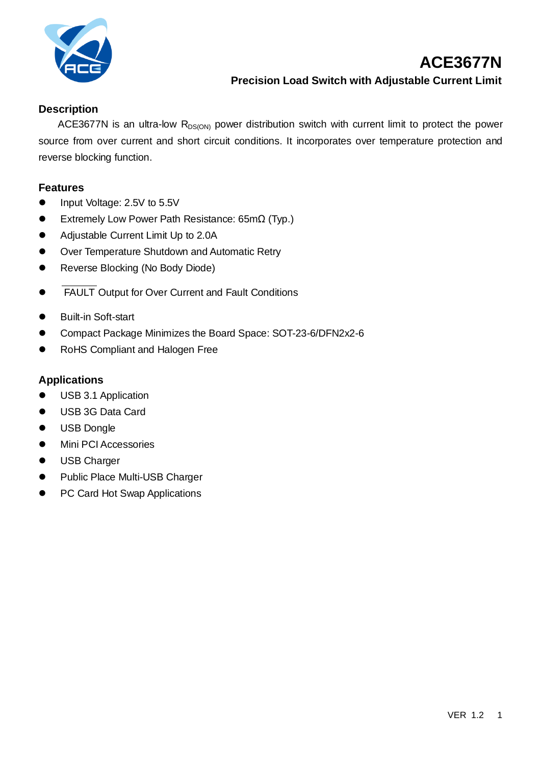

# **ACE3677N Precision Load Switch with Adjustable Current Limit**

### **Description**

ACE3677N is an ultra-low  $R_{DS(ON)}$  power distribution switch with current limit to protect the power source from over current and short circuit conditions. It incorporates over temperature protection and reverse blocking function.

#### **Features**

- Input Voltage: 2.5V to 5.5V
- ⚫ Extremely Low Power Path Resistance: 65mΩ (Typ.)
- Adjustable Current Limit Up to 2.0A
- Over Temperature Shutdown and Automatic Retry
- Reverse Blocking (No Body Diode)
- FAULT Output for Over Current and Fault Conditions
- Built-in Soft-start
- ⚫ Compact Package Minimizes the Board Space: SOT-23-6/DFN2x2-6
- ⚫ RoHS Compliant and Halogen Free

### **Applications**

- ⚫ USB 3.1 Application
- ⚫ USB 3G Data Card
- USB Dongle
- Mini PCI Accessories
- ⚫ USB Charger
- ⚫ Public Place Multi-USB Charger
- PC Card Hot Swap Applications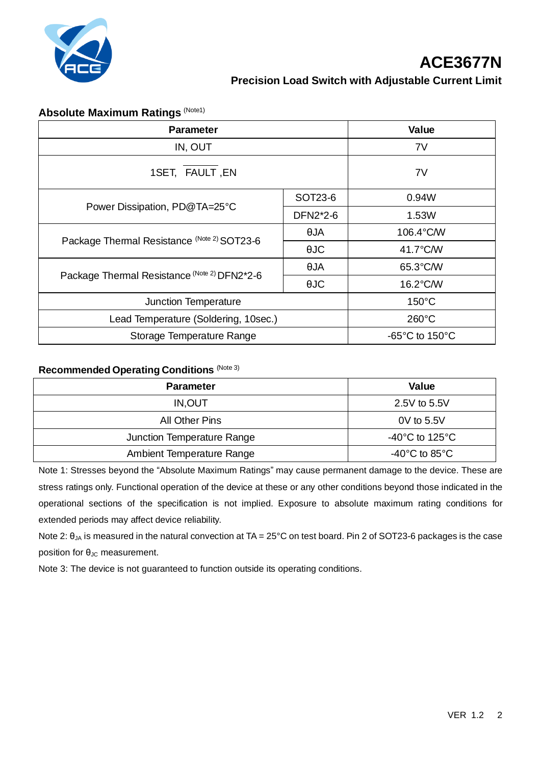

# **Absolute Maximum Ratings (Note1)**

| <b>Parameter</b>                             |             | Value                               |
|----------------------------------------------|-------------|-------------------------------------|
| IN, OUT                                      |             | 7V                                  |
| 1SET, FAULT, EN                              |             | 7V                                  |
| Power Dissipation, PD@TA=25°C                | SOT23-6     | 0.94W                               |
|                                              | DFN2*2-6    | 1.53W                               |
| Package Thermal Resistance (Note 2) SOT23-6  | $\theta$ JA | 106.4°C/W                           |
|                                              | $\theta$ JC | 41.7°C/W                            |
| Package Thermal Resistance (Note 2) DFN2*2-6 | $\theta$ JA | 65.3°C/W                            |
|                                              | $\theta$ JC | 16.2°C/W                            |
| Junction Temperature                         |             | $150^{\circ}$ C                     |
| Lead Temperature (Soldering, 10sec.)         |             | $260^{\circ}$ C                     |
| Storage Temperature Range                    |             | $-65^{\circ}$ C to 150 $^{\circ}$ C |

#### **Recommended Operating Conditions** (Note 3)

| <b>Parameter</b>           | Value                                |
|----------------------------|--------------------------------------|
| IN, OUT                    | 2.5V to 5.5V                         |
| All Other Pins             | 0V to 5.5V                           |
| Junction Temperature Range | -40 $^{\circ}$ C to 125 $^{\circ}$ C |
| Ambient Temperature Range  | -40 $^{\circ}$ C to 85 $^{\circ}$ C  |

Note 1: Stresses beyond the "Absolute Maximum Ratings" may cause permanent damage to the device. These are stress ratings only. Functional operation of the device at these or any other conditions beyond those indicated in the operational sections of the specification is not implied. Exposure to absolute maximum rating conditions for extended periods may affect device reliability.

Note 2:  $θ_{JA}$  is measured in the natural convection at TA = 25°C on test board. Pin 2 of SOT23-6 packages is the case position for  $θ<sub>JC</sub>$  measurement.

Note 3: The device is not guaranteed to function outside its operating conditions.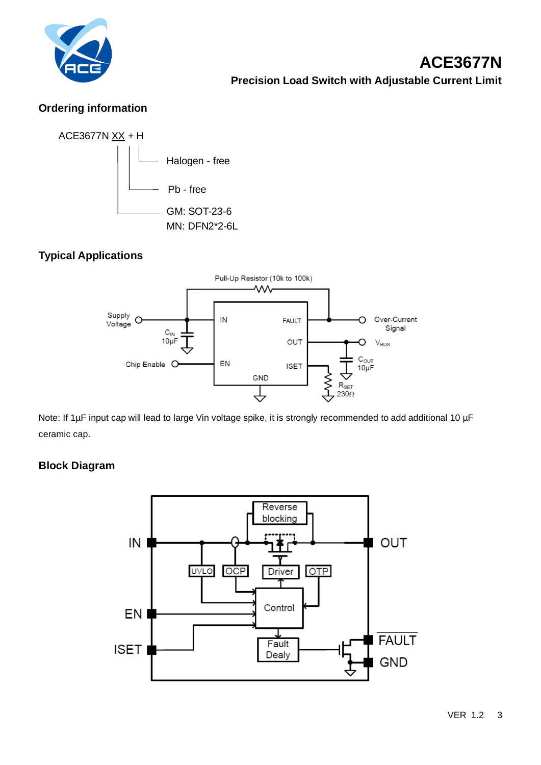

## **Ordering information**



# **Typical Applications**



Note: If 1µF input cap will lead to large Vin voltage spike, it is strongly recommended to add additional 10 µF ceramic cap.

### **Block Diagram**